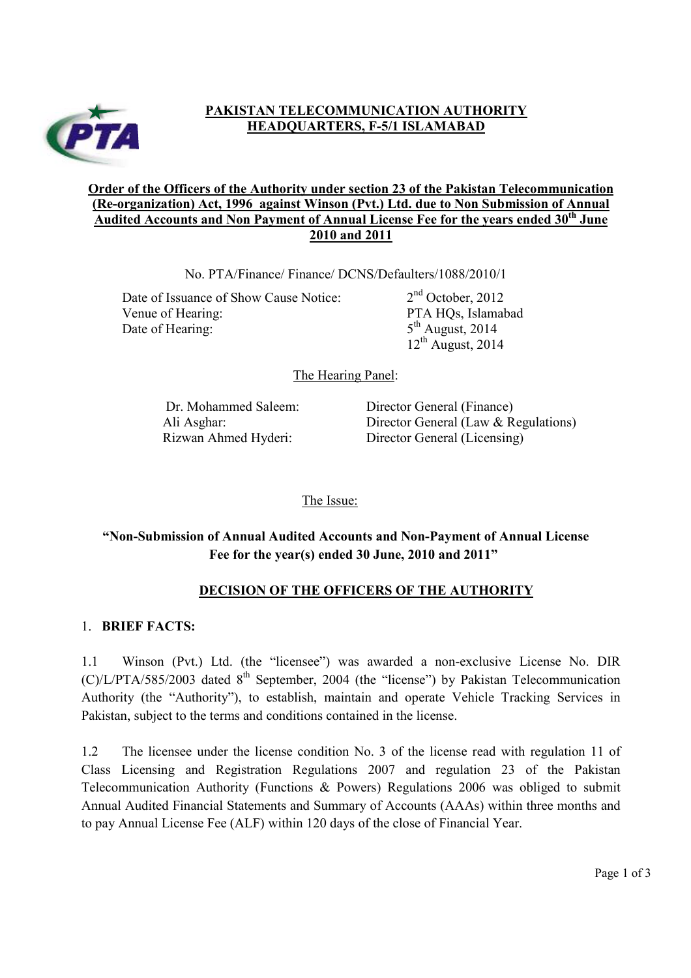

# **PAKISTAN TELECOMMUNICATION AUTHORITY HEADQUARTERS, F-5/1 ISLAMABAD**

### **Order of the Officers of the Authority under section 23 of the Pakistan Telecommunication (Re-organization) Act, 1996 against Winson (Pvt.) Ltd. due to Non Submission of Annual Audited Accounts and Non Payment of Annual License Fee for the years ended 30th June 2010 and 2011**

No. PTA/Finance/ Finance/ DCNS/Defaulters/1088/2010/1

Date of Issuance of Show Cause Notice:  $2<sup>nd</sup> October, 2012$ Venue of Hearing: PTA HQs, Islamabad Date of Hearing:  $5<sup>th</sup>$  August, 2014

 $12<sup>th</sup>$  August, 2014

The Hearing Panel:

Dr. Mohammed Saleem: Director General (Finance) Ali Asghar: Director General (Law & Regulations) Rizwan Ahmed Hyderi: Director General (Licensing)

The Issue:

# **"Non-Submission of Annual Audited Accounts and Non-Payment of Annual License Fee for the year(s) ended 30 June, 2010 and 2011"**

# **DECISION OF THE OFFICERS OF THE AUTHORITY**

### 1. **BRIEF FACTS:**

1.1 Winson (Pvt.) Ltd. (the "licensee") was awarded a non-exclusive License No. DIR  $(C)/L/PTA/585/2003$  dated  $8<sup>th</sup>$  September, 2004 (the "license") by Pakistan Telecommunication Authority (the "Authority"), to establish, maintain and operate Vehicle Tracking Services in Pakistan, subject to the terms and conditions contained in the license.

1.2 The licensee under the license condition No. 3 of the license read with regulation 11 of Class Licensing and Registration Regulations 2007 and regulation 23 of the Pakistan Telecommunication Authority (Functions & Powers) Regulations 2006 was obliged to submit Annual Audited Financial Statements and Summary of Accounts (AAAs) within three months and to pay Annual License Fee (ALF) within 120 days of the close of Financial Year.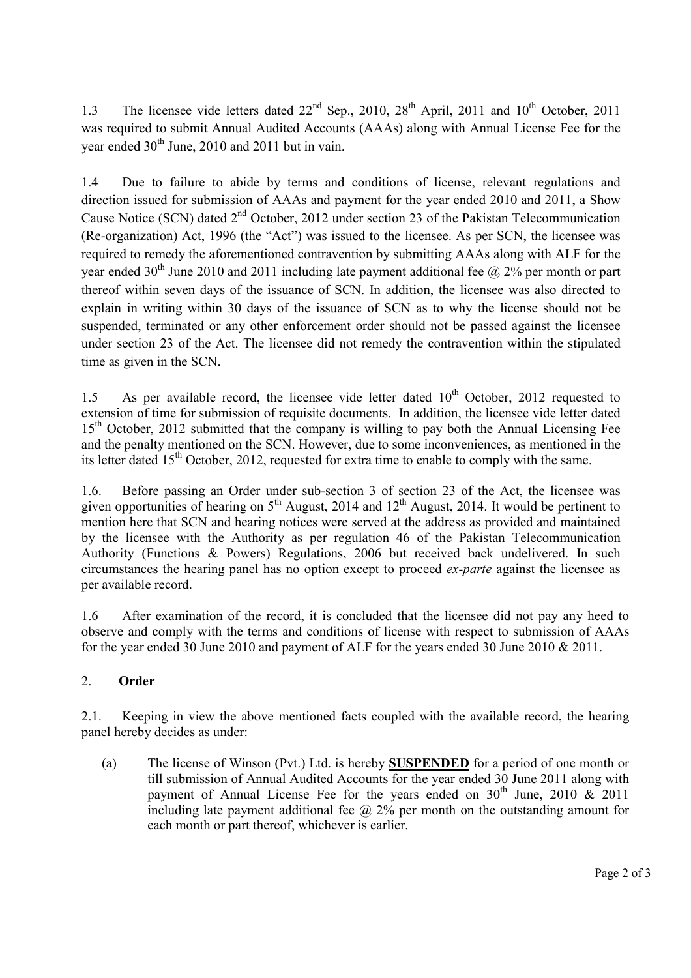1.3 The licensee vide letters dated  $22<sup>nd</sup>$  Sep., 2010, 28<sup>th</sup> April, 2011 and 10<sup>th</sup> October, 2011 was required to submit Annual Audited Accounts (AAAs) along with Annual License Fee for the year ended  $30<sup>th</sup>$  June, 2010 and 2011 but in vain.

1.4 Due to failure to abide by terms and conditions of license, relevant regulations and direction issued for submission of AAAs and payment for the year ended 2010 and 2011, a Show Cause Notice (SCN) dated 2<sup>nd</sup> October, 2012 under section 23 of the Pakistan Telecommunication (Re-organization) Act, 1996 (the "Act") was issued to the licensee. As per SCN, the licensee was required to remedy the aforementioned contravention by submitting AAAs along with ALF for the year ended 30<sup>th</sup> June 2010 and 2011 including late payment additional fee  $\omega$ , 2% per month or part thereof within seven days of the issuance of SCN. In addition, the licensee was also directed to explain in writing within 30 days of the issuance of SCN as to why the license should not be suspended, terminated or any other enforcement order should not be passed against the licensee under section 23 of the Act. The licensee did not remedy the contravention within the stipulated time as given in the SCN.

1.5 As per available record, the licensee vide letter dated  $10<sup>th</sup>$  October, 2012 requested to extension of time for submission of requisite documents. In addition, the licensee vide letter dated 15<sup>th</sup> October, 2012 submitted that the company is willing to pay both the Annual Licensing Fee and the penalty mentioned on the SCN. However, due to some inconveniences, as mentioned in the its letter dated  $15<sup>th</sup>$  October, 2012, requested for extra time to enable to comply with the same.

1.6. Before passing an Order under sub-section 3 of section 23 of the Act, the licensee was given opportunities of hearing on  $5<sup>th</sup>$  August, 2014 and 12<sup>th</sup> August, 2014. It would be pertinent to mention here that SCN and hearing notices were served at the address as provided and maintained by the licensee with the Authority as per regulation 46 of the Pakistan Telecommunication Authority (Functions & Powers) Regulations, 2006 but received back undelivered. In such circumstances the hearing panel has no option except to proceed *ex-parte* against the licensee as per available record.

1.6 After examination of the record, it is concluded that the licensee did not pay any heed to observe and comply with the terms and conditions of license with respect to submission of AAAs for the year ended 30 June 2010 and payment of ALF for the years ended 30 June 2010 & 2011.

# 2. **Order**

2.1. Keeping in view the above mentioned facts coupled with the available record, the hearing panel hereby decides as under:

(a) The license of Winson (Pvt.) Ltd. is hereby **SUSPENDED** for a period of one month or till submission of Annual Audited Accounts for the year ended 30 June 2011 along with payment of Annual License Fee for the years ended on  $30<sup>th</sup>$  June, 2010  $\&$  2011 including late payment additional fee  $\omega$  2% per month on the outstanding amount for each month or part thereof, whichever is earlier.